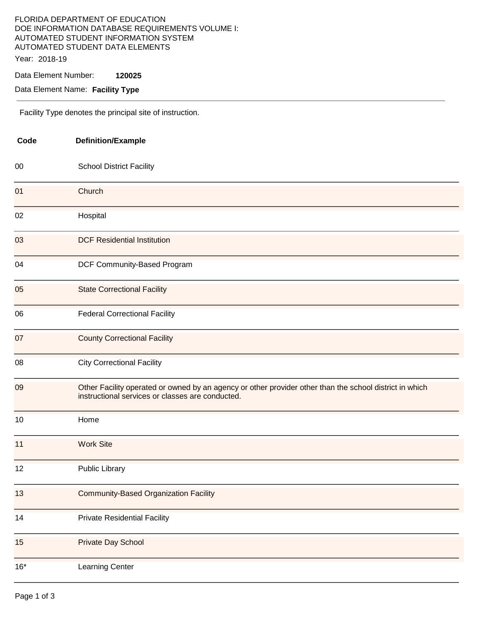## FLORIDA DEPARTMENT OF EDUCATION DOE INFORMATION DATABASE REQUIREMENTS VOLUME I: AUTOMATED STUDENT INFORMATION SYSTEM AUTOMATED STUDENT DATA ELEMENTS Year: 2018-19

Data Element Number: **120025** 

Data Element Name: **Facility Type** 

Facility Type denotes the principal site of instruction.

| Code  | <b>Definition/Example</b>                                                                                                                                   |  |
|-------|-------------------------------------------------------------------------------------------------------------------------------------------------------------|--|
| 00    | <b>School District Facility</b>                                                                                                                             |  |
| 01    | Church                                                                                                                                                      |  |
| 02    | Hospital                                                                                                                                                    |  |
| 03    | <b>DCF Residential Institution</b>                                                                                                                          |  |
| 04    | DCF Community-Based Program                                                                                                                                 |  |
| 05    | <b>State Correctional Facility</b>                                                                                                                          |  |
| 06    | <b>Federal Correctional Facility</b>                                                                                                                        |  |
| 07    | <b>County Correctional Facility</b>                                                                                                                         |  |
| 08    | <b>City Correctional Facility</b>                                                                                                                           |  |
| 09    | Other Facility operated or owned by an agency or other provider other than the school district in which<br>instructional services or classes are conducted. |  |
| 10    | Home                                                                                                                                                        |  |
| 11    | <b>Work Site</b>                                                                                                                                            |  |
| 12    | <b>Public Library</b>                                                                                                                                       |  |
| 13    | <b>Community-Based Organization Facility</b>                                                                                                                |  |
| 14    | <b>Private Residential Facility</b>                                                                                                                         |  |
| 15    | <b>Private Day School</b>                                                                                                                                   |  |
| $16*$ | Learning Center                                                                                                                                             |  |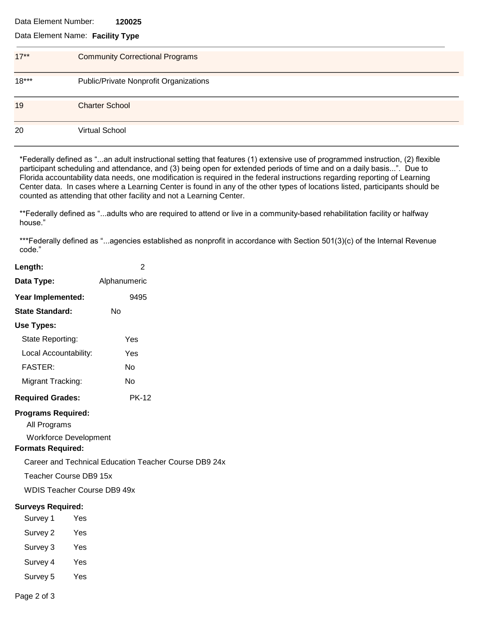#### Data Element Number: **120025**

## Data Element Name: **Facility Type**

| $17***$ | <b>Community Correctional Programs</b> |
|---------|----------------------------------------|
| $18***$ | Public/Private Nonprofit Organizations |
| 19      | <b>Charter School</b>                  |
| 20      | <b>Virtual School</b>                  |

\*Federally defined as "...an adult instructional setting that features (1) extensive use of programmed instruction, (2) flexible participant scheduling and attendance, and (3) being open for extended periods of time and on a daily basis...". Due to Florida accountability data needs, one modification is required in the federal instructions regarding reporting of Learning Center data. In cases where a Learning Center is found in any of the other types of locations listed, participants should be counted as attending that other facility and not a Learning Center.

\*\*Federally defined as "...adults who are required to attend or live in a community-based rehabilitation facility or halfway house."

\*\*\*Federally defined as "...agencies established as nonprofit in accordance with Section 501(3)(c) of the Internal Revenue code."

| Length:                                   |     | $\overline{2}$                                        |  |  |  |  |
|-------------------------------------------|-----|-------------------------------------------------------|--|--|--|--|
| Data Type:                                |     | Alphanumeric                                          |  |  |  |  |
| Year Implemented:                         |     | 9495                                                  |  |  |  |  |
| <b>State Standard:</b>                    |     | No                                                    |  |  |  |  |
| Use Types:                                |     |                                                       |  |  |  |  |
| State Reporting:                          |     | Yes                                                   |  |  |  |  |
| Local Accountability:                     |     | Yes                                                   |  |  |  |  |
| <b>FASTER:</b>                            |     | <b>No</b>                                             |  |  |  |  |
| Migrant Tracking:                         |     | <b>No</b>                                             |  |  |  |  |
| <b>Required Grades:</b>                   |     | <b>PK-12</b>                                          |  |  |  |  |
| <b>Programs Required:</b><br>All Programs |     |                                                       |  |  |  |  |
| <b>Workforce Development</b>              |     |                                                       |  |  |  |  |
| <b>Formats Required:</b>                  |     |                                                       |  |  |  |  |
|                                           |     | Career and Technical Education Teacher Course DB9 24x |  |  |  |  |
| Teacher Course DB9 15x                    |     |                                                       |  |  |  |  |
| <b>WDIS Teacher Course DB9 49x</b>        |     |                                                       |  |  |  |  |
| <b>Surveys Required:</b>                  |     |                                                       |  |  |  |  |
| Survey 1                                  | Yes |                                                       |  |  |  |  |
| Survey 2                                  | Yes |                                                       |  |  |  |  |
| Survey 3                                  | Yes |                                                       |  |  |  |  |
| Survey 4                                  | Yes |                                                       |  |  |  |  |

Survey 5 Yes